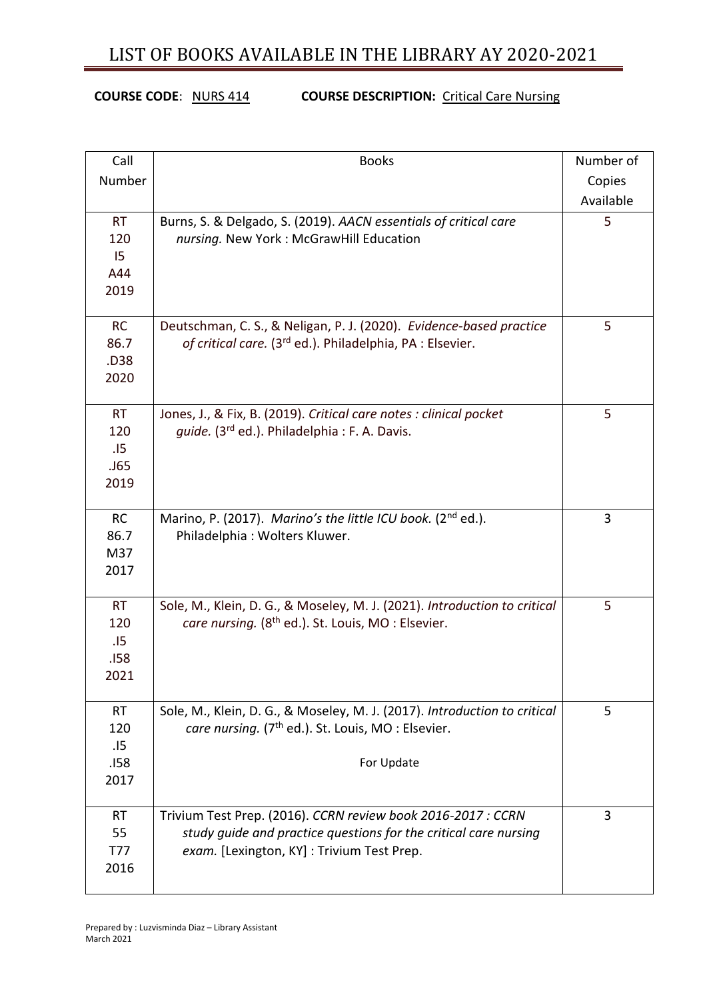**COURSE CODE**: NURS 414 **COURSE DESCRIPTION:** Critical Care Nursing

| Call       | <b>Books</b>                                                              | Number of |
|------------|---------------------------------------------------------------------------|-----------|
| Number     |                                                                           | Copies    |
|            |                                                                           | Available |
| <b>RT</b>  | Burns, S. & Delgado, S. (2019). AACN essentials of critical care          | 5         |
| 120        | nursing. New York: McGrawHill Education                                   |           |
| 15         |                                                                           |           |
| A44        |                                                                           |           |
| 2019       |                                                                           |           |
|            |                                                                           |           |
| <b>RC</b>  | Deutschman, C. S., & Neligan, P. J. (2020). Evidence-based practice       | 5         |
| 86.7       | of critical care. (3 <sup>rd</sup> ed.). Philadelphia, PA : Elsevier.     |           |
| .D38       |                                                                           |           |
| 2020       |                                                                           |           |
| <b>RT</b>  | Jones, J., & Fix, B. (2019). Critical care notes : clinical pocket        | 5         |
| 120        | guide. (3rd ed.). Philadelphia : F. A. Davis.                             |           |
| .15        |                                                                           |           |
| .J65       |                                                                           |           |
| 2019       |                                                                           |           |
|            |                                                                           |           |
| <b>RC</b>  | Marino, P. (2017). Marino's the little ICU book. (2 <sup>nd</sup> ed.).   | 3         |
| 86.7       | Philadelphia: Wolters Kluwer.                                             |           |
| M37        |                                                                           |           |
| 2017       |                                                                           |           |
|            |                                                                           |           |
| <b>RT</b>  | Sole, M., Klein, D. G., & Moseley, M. J. (2021). Introduction to critical | 5         |
| 120        | care nursing. (8 <sup>th</sup> ed.). St. Louis, MO : Elsevier.            |           |
| .15        |                                                                           |           |
| .158       |                                                                           |           |
| 2021       |                                                                           |           |
| <b>RT</b>  | Sole, M., Klein, D. G., & Moseley, M. J. (2017). Introduction to critical | 5         |
| 120        | care nursing. (7 <sup>th</sup> ed.). St. Louis, MO: Elsevier.             |           |
| .15        |                                                                           |           |
| .158       | For Update                                                                |           |
| 2017       |                                                                           |           |
|            |                                                                           |           |
| <b>RT</b>  | Trivium Test Prep. (2016). CCRN review book 2016-2017 : CCRN              | 3         |
| 55         | study guide and practice questions for the critical care nursing          |           |
| <b>T77</b> | exam. [Lexington, KY]: Trivium Test Prep.                                 |           |
| 2016       |                                                                           |           |
|            |                                                                           |           |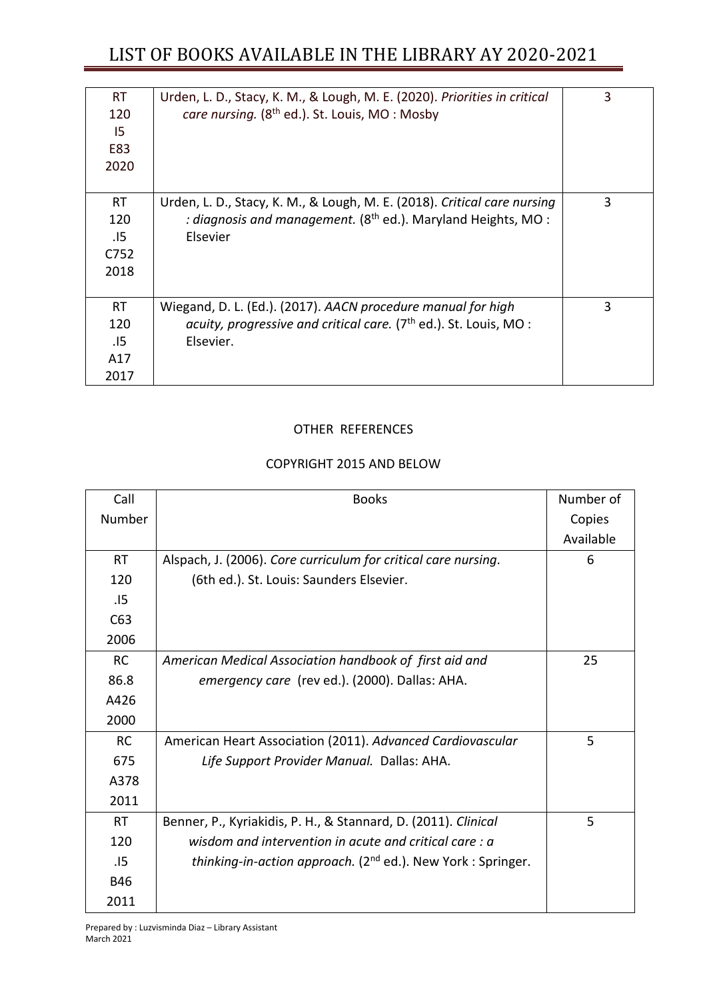| <b>RT</b><br>120<br>15<br>E83<br>2020   | Urden, L. D., Stacy, K. M., & Lough, M. E. (2020). Priorities in critical<br>care nursing. (8 <sup>th</sup> ed.). St. Louis, MO: Mosby                    | 3 |
|-----------------------------------------|-----------------------------------------------------------------------------------------------------------------------------------------------------------|---|
| <b>RT</b><br>120<br>.15<br>C752<br>2018 | Urden, L. D., Stacy, K. M., & Lough, M. E. (2018). Critical care nursing<br>: diagnosis and management. $(8th$ ed.). Maryland Heights, MO :<br>Elsevier   | 3 |
| <b>RT</b><br>120<br>.15<br>A17<br>2017  | Wiegand, D. L. (Ed.). (2017). AACN procedure manual for high<br>acuity, progressive and critical care. (7 <sup>th</sup> ed.). St. Louis, MO:<br>Elsevier. | 3 |

#### OTHER REFERENCES

#### COPYRIGHT 2015 AND BELOW

| Call       | <b>Books</b>                                                                    | Number of |
|------------|---------------------------------------------------------------------------------|-----------|
| Number     |                                                                                 | Copies    |
|            |                                                                                 | Available |
| <b>RT</b>  | Alspach, J. (2006). Core curriculum for critical care nursing.                  | 6         |
| 120        | (6th ed.). St. Louis: Saunders Elsevier.                                        |           |
| .I5        |                                                                                 |           |
| C63        |                                                                                 |           |
| 2006       |                                                                                 |           |
| <b>RC</b>  | American Medical Association handbook of first aid and                          | 25        |
| 86.8       | emergency care (rev ed.). (2000). Dallas: AHA.                                  |           |
| A426       |                                                                                 |           |
| 2000       |                                                                                 |           |
| <b>RC</b>  | American Heart Association (2011). Advanced Cardiovascular                      | 5         |
| 675        | Life Support Provider Manual. Dallas: AHA.                                      |           |
| A378       |                                                                                 |           |
| 2011       |                                                                                 |           |
| <b>RT</b>  | Benner, P., Kyriakidis, P. H., & Stannard, D. (2011). Clinical                  | 5         |
| 120        | wisdom and intervention in acute and critical care: a                           |           |
| .15        | <i>thinking-in-action approach.</i> (2 <sup>nd</sup> ed.). New York : Springer. |           |
| <b>B46</b> |                                                                                 |           |
| 2011       |                                                                                 |           |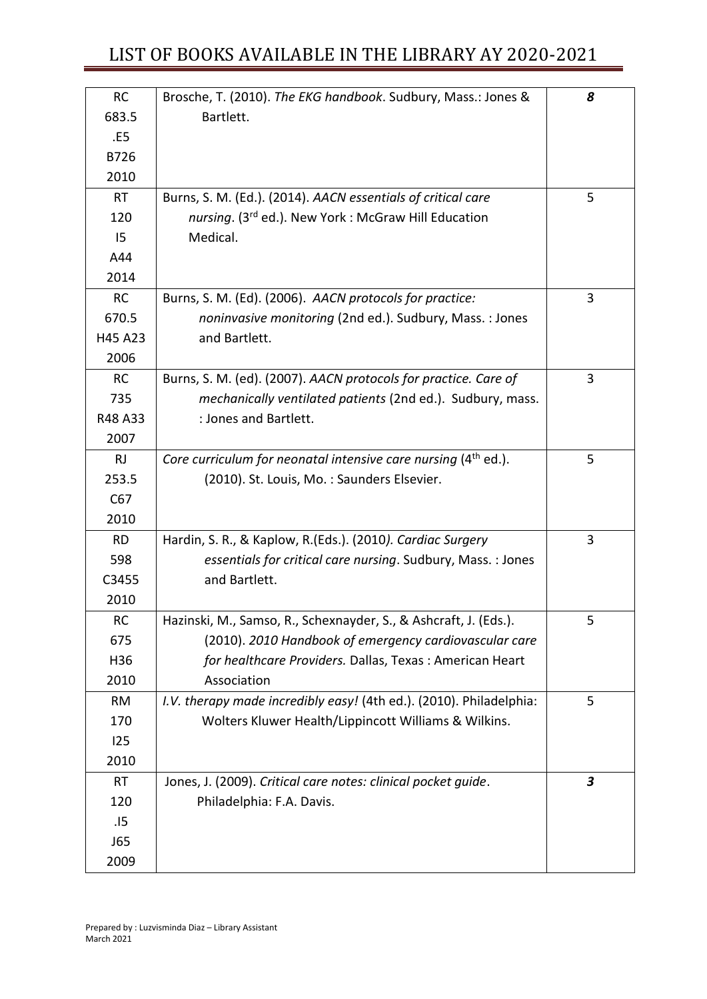| <b>RC</b> | Brosche, T. (2010). The EKG handbook. Sudbury, Mass.: Jones &              | 8                |
|-----------|----------------------------------------------------------------------------|------------------|
| 683.5     | Bartlett.                                                                  |                  |
| .E5       |                                                                            |                  |
| B726      |                                                                            |                  |
| 2010      |                                                                            |                  |
| <b>RT</b> | Burns, S. M. (Ed.). (2014). AACN essentials of critical care               | 5                |
| 120       | nursing. (3rd ed.). New York: McGraw Hill Education                        |                  |
| 15        | Medical.                                                                   |                  |
| A44       |                                                                            |                  |
| 2014      |                                                                            |                  |
| <b>RC</b> | Burns, S. M. (Ed). (2006). AACN protocols for practice:                    | 3                |
| 670.5     | noninvasive monitoring (2nd ed.). Sudbury, Mass.: Jones                    |                  |
| H45 A23   | and Bartlett.                                                              |                  |
| 2006      |                                                                            |                  |
| <b>RC</b> | Burns, S. M. (ed). (2007). AACN protocols for practice. Care of            | 3                |
| 735       | mechanically ventilated patients (2nd ed.). Sudbury, mass.                 |                  |
| R48 A33   | : Jones and Bartlett.                                                      |                  |
| 2007      |                                                                            |                  |
| <b>RJ</b> | Core curriculum for neonatal intensive care nursing (4 <sup>th</sup> ed.). | 5                |
| 253.5     | (2010). St. Louis, Mo.: Saunders Elsevier.                                 |                  |
| C67       |                                                                            |                  |
| 2010      |                                                                            |                  |
| <b>RD</b> | Hardin, S. R., & Kaplow, R. (Eds.). (2010). Cardiac Surgery                | 3                |
| 598       | essentials for critical care nursing. Sudbury, Mass. : Jones               |                  |
| C3455     | and Bartlett.                                                              |                  |
| 2010      |                                                                            |                  |
| <b>RC</b> | Hazinski, M., Samso, R., Schexnayder, S., & Ashcraft, J. (Eds.).           | 5                |
| 675       | (2010). 2010 Handbook of emergency cardiovascular care                     |                  |
| H36       | for healthcare Providers. Dallas, Texas: American Heart                    |                  |
| 2010      | Association                                                                |                  |
| RM        | I.V. therapy made incredibly easy! (4th ed.). (2010). Philadelphia:        | 5                |
| 170       | Wolters Kluwer Health/Lippincott Williams & Wilkins.                       |                  |
| 125       |                                                                            |                  |
| 2010      |                                                                            |                  |
| <b>RT</b> | Jones, J. (2009). Critical care notes: clinical pocket guide.              | $\boldsymbol{3}$ |
| 120       | Philadelphia: F.A. Davis.                                                  |                  |
| .15       |                                                                            |                  |
| J65       |                                                                            |                  |
| 2009      |                                                                            |                  |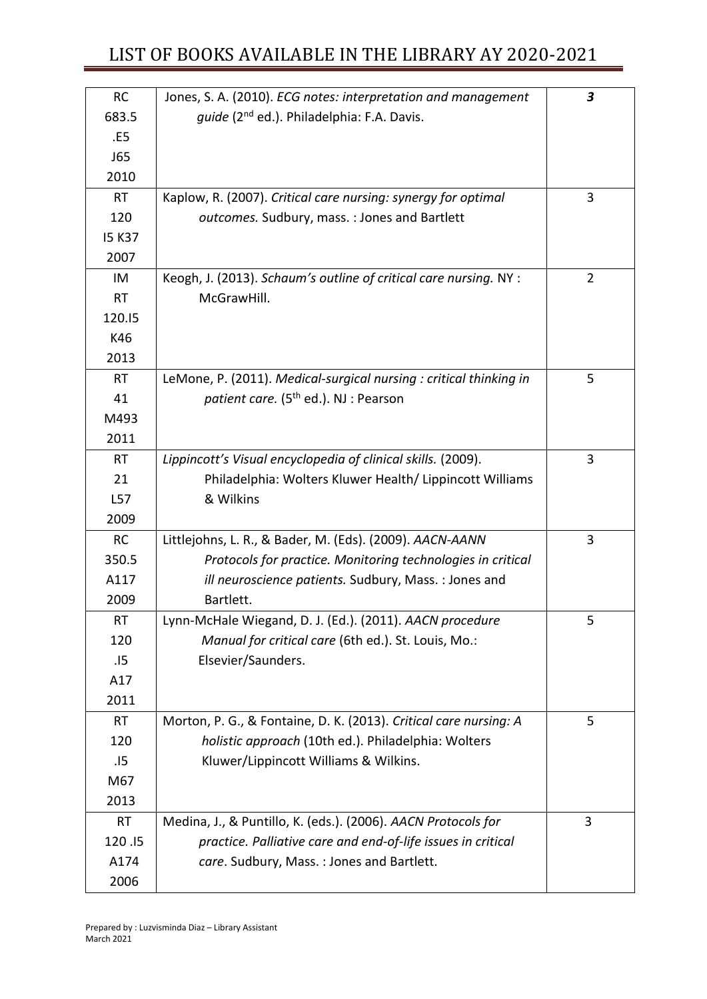| <b>RC</b>     | Jones, S. A. (2010). ECG notes: interpretation and management      | $\boldsymbol{3}$ |
|---------------|--------------------------------------------------------------------|------------------|
| 683.5         | guide (2 <sup>nd</sup> ed.). Philadelphia: F.A. Davis.             |                  |
| .E5           |                                                                    |                  |
| J65           |                                                                    |                  |
| 2010          |                                                                    |                  |
| <b>RT</b>     | Kaplow, R. (2007). Critical care nursing: synergy for optimal      | 3                |
| 120           | outcomes. Sudbury, mass.: Jones and Bartlett                       |                  |
| <b>I5 K37</b> |                                                                    |                  |
| 2007          |                                                                    |                  |
| IM            | Keogh, J. (2013). Schaum's outline of critical care nursing. NY :  | 2                |
| <b>RT</b>     | McGrawHill.                                                        |                  |
| 120.15        |                                                                    |                  |
| K46           |                                                                    |                  |
| 2013          |                                                                    |                  |
| <b>RT</b>     | LeMone, P. (2011). Medical-surgical nursing : critical thinking in | 5                |
| 41            | patient care. (5 <sup>th</sup> ed.). NJ : Pearson                  |                  |
| M493          |                                                                    |                  |
| 2011          |                                                                    |                  |
| <b>RT</b>     | Lippincott's Visual encyclopedia of clinical skills. (2009).       | 3                |
| 21            | Philadelphia: Wolters Kluwer Health/ Lippincott Williams           |                  |
| L57           | & Wilkins                                                          |                  |
| 2009          |                                                                    |                  |
| <b>RC</b>     | Littlejohns, L. R., & Bader, M. (Eds). (2009). AACN-AANN           | 3                |
| 350.5         | Protocols for practice. Monitoring technologies in critical        |                  |
| A117          | ill neuroscience patients. Sudbury, Mass. : Jones and              |                  |
| 2009          | Bartlett.                                                          |                  |
| <b>RT</b>     | Lynn-McHale Wiegand, D. J. (Ed.). (2011). AACN procedure           | 5                |
| 120           | Manual for critical care (6th ed.). St. Louis, Mo.:                |                  |
| .15           | Elsevier/Saunders.                                                 |                  |
| A17           |                                                                    |                  |
| 2011          |                                                                    |                  |
| <b>RT</b>     | Morton, P. G., & Fontaine, D. K. (2013). Critical care nursing: A  | 5                |
| 120           | holistic approach (10th ed.). Philadelphia: Wolters                |                  |
| .15           | Kluwer/Lippincott Williams & Wilkins.                              |                  |
| M67           |                                                                    |                  |
| 2013          |                                                                    |                  |
| <b>RT</b>     | Medina, J., & Puntillo, K. (eds.). (2006). AACN Protocols for      | 3                |
| 120.15        | practice. Palliative care and end-of-life issues in critical       |                  |
| A174          | care. Sudbury, Mass.: Jones and Bartlett.                          |                  |
| 2006          |                                                                    |                  |
|               |                                                                    |                  |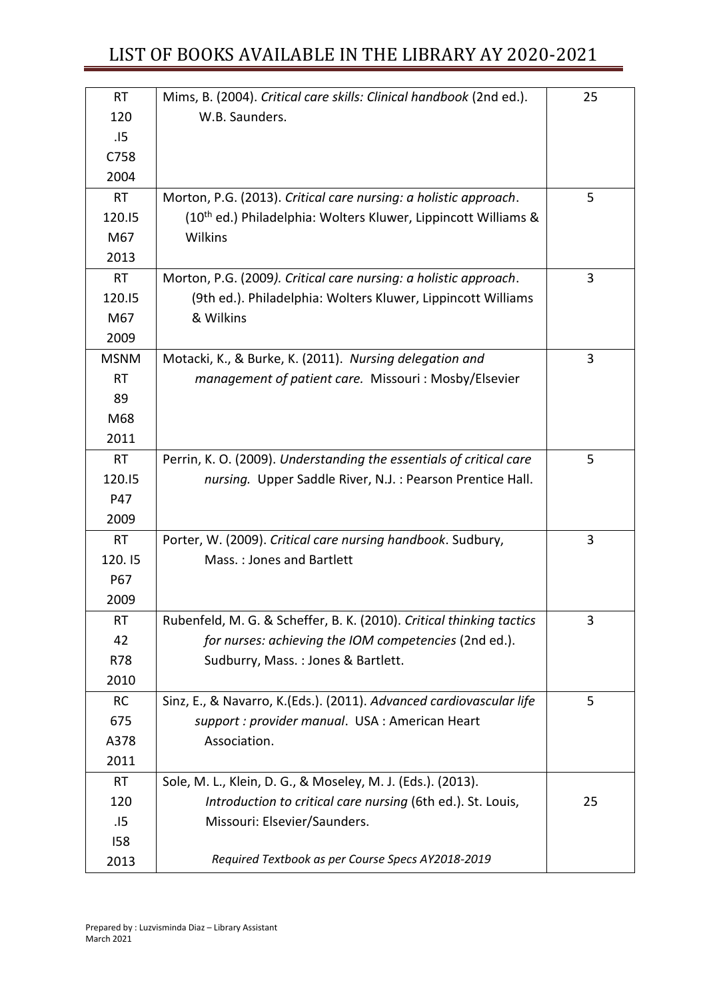| <b>RT</b>   | Mims, B. (2004). Critical care skills: Clinical handbook (2nd ed.).        | 25 |
|-------------|----------------------------------------------------------------------------|----|
| 120         | W.B. Saunders.                                                             |    |
| .15         |                                                                            |    |
| C758        |                                                                            |    |
| 2004        |                                                                            |    |
| <b>RT</b>   | Morton, P.G. (2013). Critical care nursing: a holistic approach.           | 5  |
| 120.15      | (10 <sup>th</sup> ed.) Philadelphia: Wolters Kluwer, Lippincott Williams & |    |
| M67         | Wilkins                                                                    |    |
| 2013        |                                                                            |    |
| <b>RT</b>   | Morton, P.G. (2009). Critical care nursing: a holistic approach.           | 3  |
| 120.15      | (9th ed.). Philadelphia: Wolters Kluwer, Lippincott Williams               |    |
| M67         | & Wilkins                                                                  |    |
| 2009        |                                                                            |    |
| <b>MSNM</b> | Motacki, K., & Burke, K. (2011). Nursing delegation and                    | 3  |
| <b>RT</b>   | management of patient care. Missouri: Mosby/Elsevier                       |    |
| 89          |                                                                            |    |
| M68         |                                                                            |    |
| 2011        |                                                                            |    |
| <b>RT</b>   | Perrin, K. O. (2009). Understanding the essentials of critical care        | 5  |
| 120.15      | nursing. Upper Saddle River, N.J.: Pearson Prentice Hall.                  |    |
| P47         |                                                                            |    |
| 2009        |                                                                            |    |
| <b>RT</b>   | Porter, W. (2009). Critical care nursing handbook. Sudbury,                | 3  |
| 120.15      | Mass.: Jones and Bartlett                                                  |    |
| P67         |                                                                            |    |
| 2009        |                                                                            |    |
| <b>RT</b>   | Rubenfeld, M. G. & Scheffer, B. K. (2010). Critical thinking tactics       | 3  |
| 42          | for nurses: achieving the IOM competencies (2nd ed.).                      |    |
| R78         | Sudburry, Mass.: Jones & Bartlett.                                         |    |
| 2010        |                                                                            |    |
| <b>RC</b>   | Sinz, E., & Navarro, K.(Eds.). (2011). Advanced cardiovascular life        | 5  |
| 675         | support : provider manual. USA : American Heart                            |    |
| A378        | Association.                                                               |    |
| 2011        |                                                                            |    |
| RT          | Sole, M. L., Klein, D. G., & Moseley, M. J. (Eds.). (2013).                |    |
| 120         | Introduction to critical care nursing (6th ed.). St. Louis,                | 25 |
| .15         | Missouri: Elsevier/Saunders.                                               |    |
| 158         |                                                                            |    |
| 2013        | Required Textbook as per Course Specs AY2018-2019                          |    |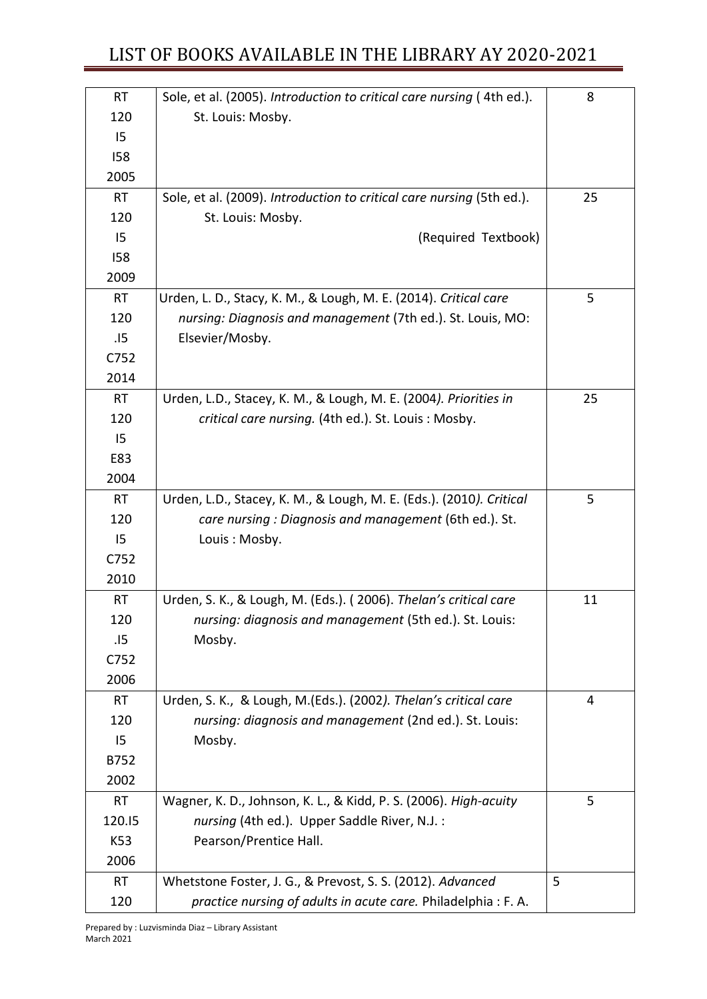| <b>RT</b> | Sole, et al. (2005). Introduction to critical care nursing (4th ed.). | 8  |
|-----------|-----------------------------------------------------------------------|----|
| 120       | St. Louis: Mosby.                                                     |    |
| 15        |                                                                       |    |
| 158       |                                                                       |    |
| 2005      |                                                                       |    |
| <b>RT</b> | Sole, et al. (2009). Introduction to critical care nursing (5th ed.). | 25 |
| 120       | St. Louis: Mosby.                                                     |    |
| 15        | (Required Textbook)                                                   |    |
| 158       |                                                                       |    |
| 2009      |                                                                       |    |
| <b>RT</b> | Urden, L. D., Stacy, K. M., & Lough, M. E. (2014). Critical care      | 5  |
| 120       | nursing: Diagnosis and management (7th ed.). St. Louis, MO:           |    |
| .15       | Elsevier/Mosby.                                                       |    |
| C752      |                                                                       |    |
| 2014      |                                                                       |    |
| <b>RT</b> | Urden, L.D., Stacey, K. M., & Lough, M. E. (2004). Priorities in      | 25 |
| 120       | critical care nursing. (4th ed.). St. Louis: Mosby.                   |    |
| 15        |                                                                       |    |
| E83       |                                                                       |    |
| 2004      |                                                                       |    |
| <b>RT</b> | Urden, L.D., Stacey, K. M., & Lough, M. E. (Eds.). (2010). Critical   | 5  |
| 120       | care nursing : Diagnosis and management (6th ed.). St.                |    |
| 15        | Louis: Mosby.                                                         |    |
| C752      |                                                                       |    |
| 2010      |                                                                       |    |
| <b>RT</b> | Urden, S. K., & Lough, M. (Eds.). (2006). Thelan's critical care      | 11 |
| 120       | nursing: diagnosis and management (5th ed.). St. Louis:               |    |
| .15       | Mosby.                                                                |    |
| C752      |                                                                       |    |
| 2006      |                                                                       |    |
| <b>RT</b> | Urden, S. K., & Lough, M.(Eds.). (2002). Thelan's critical care       | 4  |
| 120       | nursing: diagnosis and management (2nd ed.). St. Louis:               |    |
| 15        | Mosby.                                                                |    |
| B752      |                                                                       |    |
| 2002      |                                                                       |    |
| <b>RT</b> | Wagner, K. D., Johnson, K. L., & Kidd, P. S. (2006). High-acuity      | 5  |
| 120.15    | nursing (4th ed.). Upper Saddle River, N.J. :                         |    |
| K53       | Pearson/Prentice Hall.                                                |    |
| 2006      |                                                                       |    |
| RT        | Whetstone Foster, J. G., & Prevost, S. S. (2012). Advanced            | 5  |
| 120       | practice nursing of adults in acute care. Philadelphia: F.A.          |    |